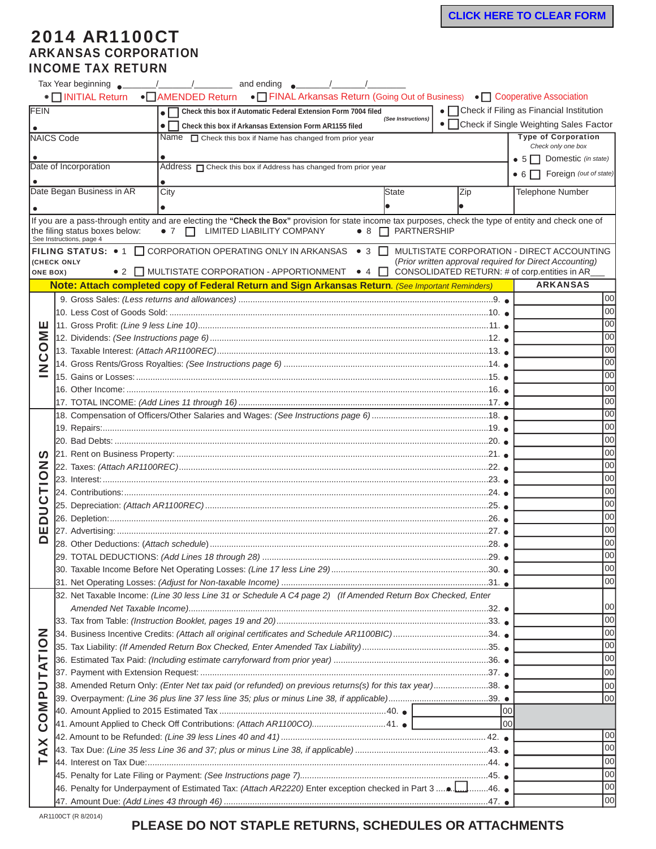## 2014 AR1100CT ARKANSAS CORPORATION INCOME TAX RETURN

|                                                                                                   |                                                                                                           | • NITIAL Return • AMENDED Return • T FINAL Arkansas Return (Going Out of Business) • T Cooperative Association                                                                                   |                                |                                               |                                                                                                       |  |  |  |
|---------------------------------------------------------------------------------------------------|-----------------------------------------------------------------------------------------------------------|--------------------------------------------------------------------------------------------------------------------------------------------------------------------------------------------------|--------------------------------|-----------------------------------------------|-------------------------------------------------------------------------------------------------------|--|--|--|
| FEIN<br>Check this box if Automatic Federal Extension Form 7004 filed<br>۰ſ<br>(See Instructions) |                                                                                                           |                                                                                                                                                                                                  |                                |                                               | $\bullet$ $\Box$ Check if Filing as Financial Institution                                             |  |  |  |
|                                                                                                   |                                                                                                           | $\bullet$ $\Gamma$<br>Check this box if Arkansas Extension Form AR1155 filed                                                                                                                     |                                |                                               | • Check if Single Weighting Sales Factor                                                              |  |  |  |
|                                                                                                   | NAICS Code                                                                                                | Name $\Box$ Check this box if Name has changed from prior year                                                                                                                                   |                                |                                               | <b>Type of Corporation</b><br>Check only one box                                                      |  |  |  |
|                                                                                                   |                                                                                                           |                                                                                                                                                                                                  |                                |                                               | • $5 \Box$ Domestic (in state)                                                                        |  |  |  |
|                                                                                                   | Date of Incorporation                                                                                     | Address <sub>O</sub> Check this box if Address has changed from prior year                                                                                                                       |                                |                                               | $\bullet$ 6 $\Box$ Foreign (out of state)                                                             |  |  |  |
|                                                                                                   |                                                                                                           |                                                                                                                                                                                                  |                                |                                               |                                                                                                       |  |  |  |
|                                                                                                   | Date Began Business in AR                                                                                 | City                                                                                                                                                                                             | State                          | Zip                                           | <b>Telephone Number</b>                                                                               |  |  |  |
|                                                                                                   |                                                                                                           |                                                                                                                                                                                                  |                                |                                               |                                                                                                       |  |  |  |
|                                                                                                   | the filing status boxes below:<br>See Instructions, page 4                                                | If you are a pass-through entity and are electing the "Check the Box" provision for state income tax purposes, check the type of entity and check one of<br>• 7 $\Box$ LIMITED LIABILITY COMPANY | $\bullet$ 8 $\Box$ PARTNERSHIP |                                               |                                                                                                       |  |  |  |
| <b>ONE BOX)</b>                                                                                   | (CHECK ONLY                                                                                               | <b>FILING STATUS:</b> $\bullet$ 1 $\Box$ CORPORATION OPERATING ONLY IN ARKANSAS $\bullet$ 3 $\Box$<br>• 2 $\Box$ MULTISTATE CORPORATION - APPORTIONMENT • 4 $\Box$                               |                                | CONSOLIDATED RETURN: # of corp.entities in AR | MULTISTATE CORPORATION - DIRECT ACCOUNTING<br>(Prior written approval required for Direct Accounting) |  |  |  |
|                                                                                                   |                                                                                                           | Note: Attach completed copy of Federal Return and Sign Arkansas Return. (See Important Reminders)                                                                                                |                                |                                               | <b>ARKANSAS</b>                                                                                       |  |  |  |
|                                                                                                   |                                                                                                           |                                                                                                                                                                                                  |                                |                                               | 00                                                                                                    |  |  |  |
|                                                                                                   |                                                                                                           |                                                                                                                                                                                                  | 00                             |                                               |                                                                                                       |  |  |  |
|                                                                                                   |                                                                                                           |                                                                                                                                                                                                  | 00                             |                                               |                                                                                                       |  |  |  |
| ĔΣ                                                                                                |                                                                                                           |                                                                                                                                                                                                  |                                |                                               | 00                                                                                                    |  |  |  |
| 0                                                                                                 |                                                                                                           |                                                                                                                                                                                                  |                                |                                               | 00                                                                                                    |  |  |  |
| <u>ပ</u>                                                                                          |                                                                                                           |                                                                                                                                                                                                  | 00                             |                                               |                                                                                                       |  |  |  |
|                                                                                                   |                                                                                                           | 00                                                                                                                                                                                               |                                |                                               |                                                                                                       |  |  |  |
|                                                                                                   |                                                                                                           | 00                                                                                                                                                                                               |                                |                                               |                                                                                                       |  |  |  |
|                                                                                                   | 17. TOTAL INCOME: <i>(Add Lines 11 through 16)…………………………………………………………………………………………</i> 17. ●                |                                                                                                                                                                                                  |                                |                                               | 00                                                                                                    |  |  |  |
|                                                                                                   |                                                                                                           |                                                                                                                                                                                                  |                                |                                               | 00                                                                                                    |  |  |  |
| n,<br>Z<br>$\circ$                                                                                |                                                                                                           |                                                                                                                                                                                                  |                                | 00                                            |                                                                                                       |  |  |  |
|                                                                                                   |                                                                                                           |                                                                                                                                                                                                  |                                | 00                                            |                                                                                                       |  |  |  |
|                                                                                                   |                                                                                                           |                                                                                                                                                                                                  |                                | 00                                            |                                                                                                       |  |  |  |
|                                                                                                   |                                                                                                           |                                                                                                                                                                                                  |                                | 00                                            |                                                                                                       |  |  |  |
|                                                                                                   |                                                                                                           |                                                                                                                                                                                                  |                                | 00                                            |                                                                                                       |  |  |  |
|                                                                                                   |                                                                                                           |                                                                                                                                                                                                  |                                | 00                                            |                                                                                                       |  |  |  |
|                                                                                                   |                                                                                                           |                                                                                                                                                                                                  |                                | 00                                            |                                                                                                       |  |  |  |
| ≏                                                                                                 |                                                                                                           |                                                                                                                                                                                                  |                                | 00                                            |                                                                                                       |  |  |  |
| ш                                                                                                 |                                                                                                           |                                                                                                                                                                                                  | 00                             |                                               |                                                                                                       |  |  |  |
| ◘                                                                                                 |                                                                                                           |                                                                                                                                                                                                  | 00                             |                                               |                                                                                                       |  |  |  |
|                                                                                                   | 29. TOTAL DEDUCTIONS: (Add Lines 18 through 28) …………………………………………………………………………………                           | loo                                                                                                                                                                                              |                                |                                               |                                                                                                       |  |  |  |
|                                                                                                   |                                                                                                           | 00                                                                                                                                                                                               |                                |                                               |                                                                                                       |  |  |  |
|                                                                                                   |                                                                                                           |                                                                                                                                                                                                  | 00                             |                                               |                                                                                                       |  |  |  |
|                                                                                                   |                                                                                                           | 32. Net Taxable Income: (Line 30 less Line 31 or Schedule A C4 page 2) (If Amended Return Box Checked, Enter                                                                                     |                                |                                               |                                                                                                       |  |  |  |
|                                                                                                   |                                                                                                           | 00                                                                                                                                                                                               |                                |                                               |                                                                                                       |  |  |  |
|                                                                                                   |                                                                                                           |                                                                                                                                                                                                  |                                |                                               | 00                                                                                                    |  |  |  |
| z<br>$\overline{\mathsf{C}}$<br>TAT<br>⊒<br>OMP<br>Ŏ<br>XA<br>⊢                                   | 34. Business Incentive Credits: (Attach all original certificates and Schedule AR1100BIC)34.              |                                                                                                                                                                                                  | 00                             |                                               |                                                                                                       |  |  |  |
|                                                                                                   |                                                                                                           |                                                                                                                                                                                                  | 00                             |                                               |                                                                                                       |  |  |  |
|                                                                                                   |                                                                                                           | 00                                                                                                                                                                                               |                                |                                               |                                                                                                       |  |  |  |
|                                                                                                   |                                                                                                           | 00                                                                                                                                                                                               |                                |                                               |                                                                                                       |  |  |  |
|                                                                                                   | 38. Amended Return Only: (Enter Net tax paid (or refunded) on previous returns(s) for this tax year)38. ● | 00                                                                                                                                                                                               |                                |                                               |                                                                                                       |  |  |  |
|                                                                                                   |                                                                                                           | 00                                                                                                                                                                                               |                                |                                               |                                                                                                       |  |  |  |
|                                                                                                   | loo                                                                                                       |                                                                                                                                                                                                  |                                |                                               |                                                                                                       |  |  |  |
|                                                                                                   | 41. Amount Applied to Check Off Contributions: (Attach AR1100CO)41. .                                     | loo                                                                                                                                                                                              |                                |                                               |                                                                                                       |  |  |  |
|                                                                                                   |                                                                                                           |                                                                                                                                                                                                  |                                |                                               | 00                                                                                                    |  |  |  |
|                                                                                                   |                                                                                                           |                                                                                                                                                                                                  |                                |                                               | 00                                                                                                    |  |  |  |
|                                                                                                   |                                                                                                           |                                                                                                                                                                                                  |                                |                                               | 00                                                                                                    |  |  |  |
|                                                                                                   |                                                                                                           |                                                                                                                                                                                                  |                                |                                               | 00                                                                                                    |  |  |  |
|                                                                                                   |                                                                                                           |                                                                                                                                                                                                  |                                |                                               | 00                                                                                                    |  |  |  |
|                                                                                                   |                                                                                                           |                                                                                                                                                                                                  |                                |                                               | 00                                                                                                    |  |  |  |

## **PLEASE DO NOT STAPLE RETURNS, SCHEDULES OR ATTACHMENTS**